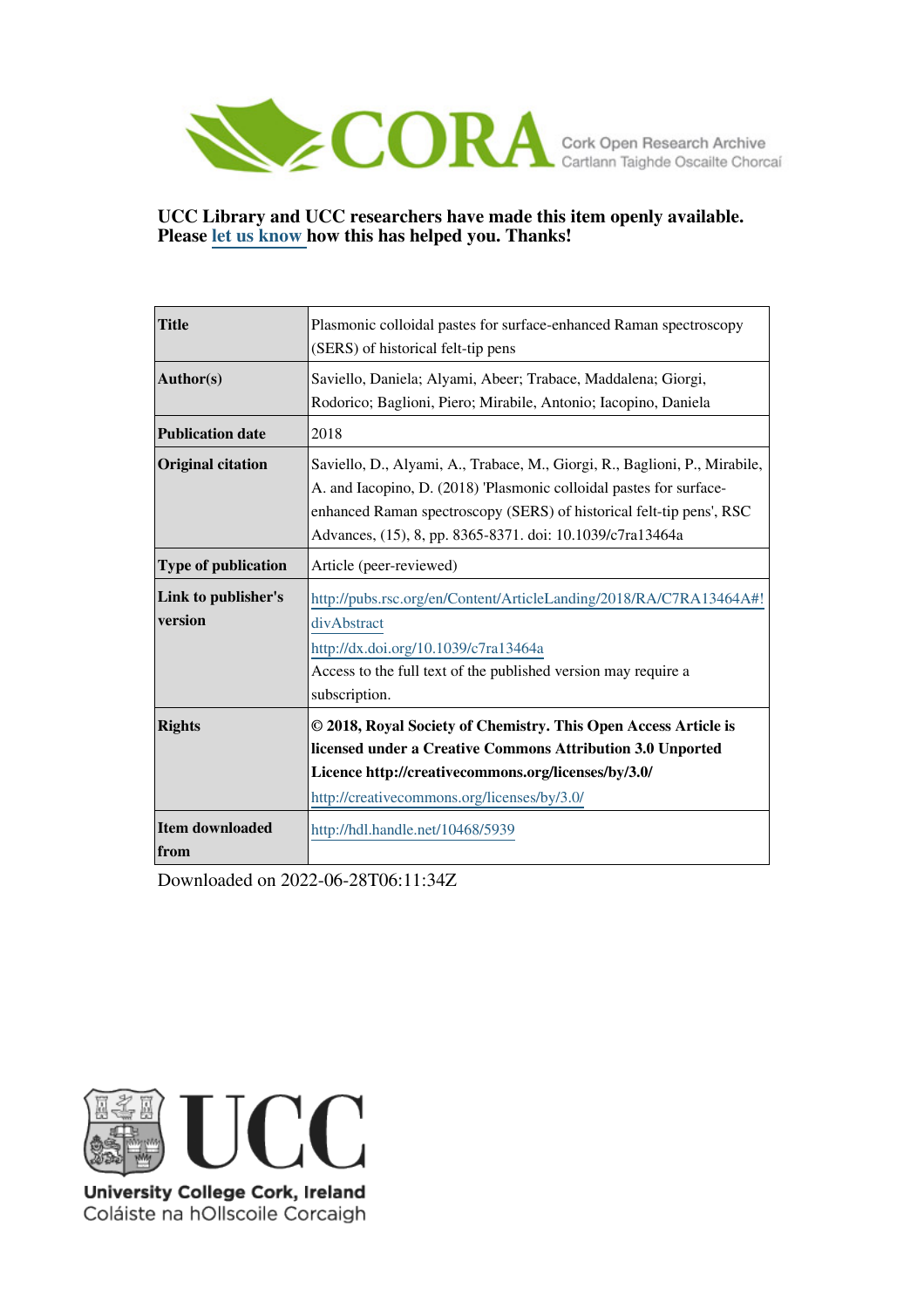

### **UCC Library and UCC researchers have made this item openly available. Please [let us know h](https://libguides.ucc.ie/openaccess/impact?suffix=5939&title=Plasmonic colloidal pastes for surface-enhanced Raman spectroscopy (SERS) of historical felt-tip pens)ow this has helped you. Thanks!**

| <b>Title</b>                   | Plasmonic colloidal pastes for surface-enhanced Raman spectroscopy<br>(SERS) of historical felt-tip pens                                                                                                                                                                               |
|--------------------------------|----------------------------------------------------------------------------------------------------------------------------------------------------------------------------------------------------------------------------------------------------------------------------------------|
| Author(s)                      | Saviello, Daniela; Alyami, Abeer; Trabace, Maddalena; Giorgi,<br>Rodorico; Baglioni, Piero; Mirabile, Antonio; Iacopino, Daniela                                                                                                                                                       |
| <b>Publication date</b>        | 2018                                                                                                                                                                                                                                                                                   |
| <b>Original citation</b>       | Saviello, D., Alyami, A., Trabace, M., Giorgi, R., Baglioni, P., Mirabile,<br>A. and Iacopino, D. (2018) 'Plasmonic colloidal pastes for surface-<br>enhanced Raman spectroscopy (SERS) of historical felt-tip pens', RSC<br>Advances, (15), 8, pp. 8365-8371. doi: 10.1039/c7ra13464a |
| <b>Type of publication</b>     | Article (peer-reviewed)                                                                                                                                                                                                                                                                |
| Link to publisher's<br>version | http://pubs.rsc.org/en/Content/ArticleLanding/2018/RA/C7RA13464A#!<br>divAbstract<br>http://dx.doi.org/10.1039/c7ra13464a<br>Access to the full text of the published version may require a<br>subscription.                                                                           |
| <b>Rights</b>                  | © 2018, Royal Society of Chemistry. This Open Access Article is<br>licensed under a Creative Commons Attribution 3.0 Unported<br>Licence http://creativecommons.org/licenses/by/3.0/<br>http://creativecommons.org/licenses/by/3.0/                                                    |
| <b>Item downloaded</b><br>from | http://hdl.handle.net/10468/5939                                                                                                                                                                                                                                                       |

Downloaded on 2022-06-28T06:11:34Z



University College Cork, Ireland Coláiste na hOllscoile Corcaigh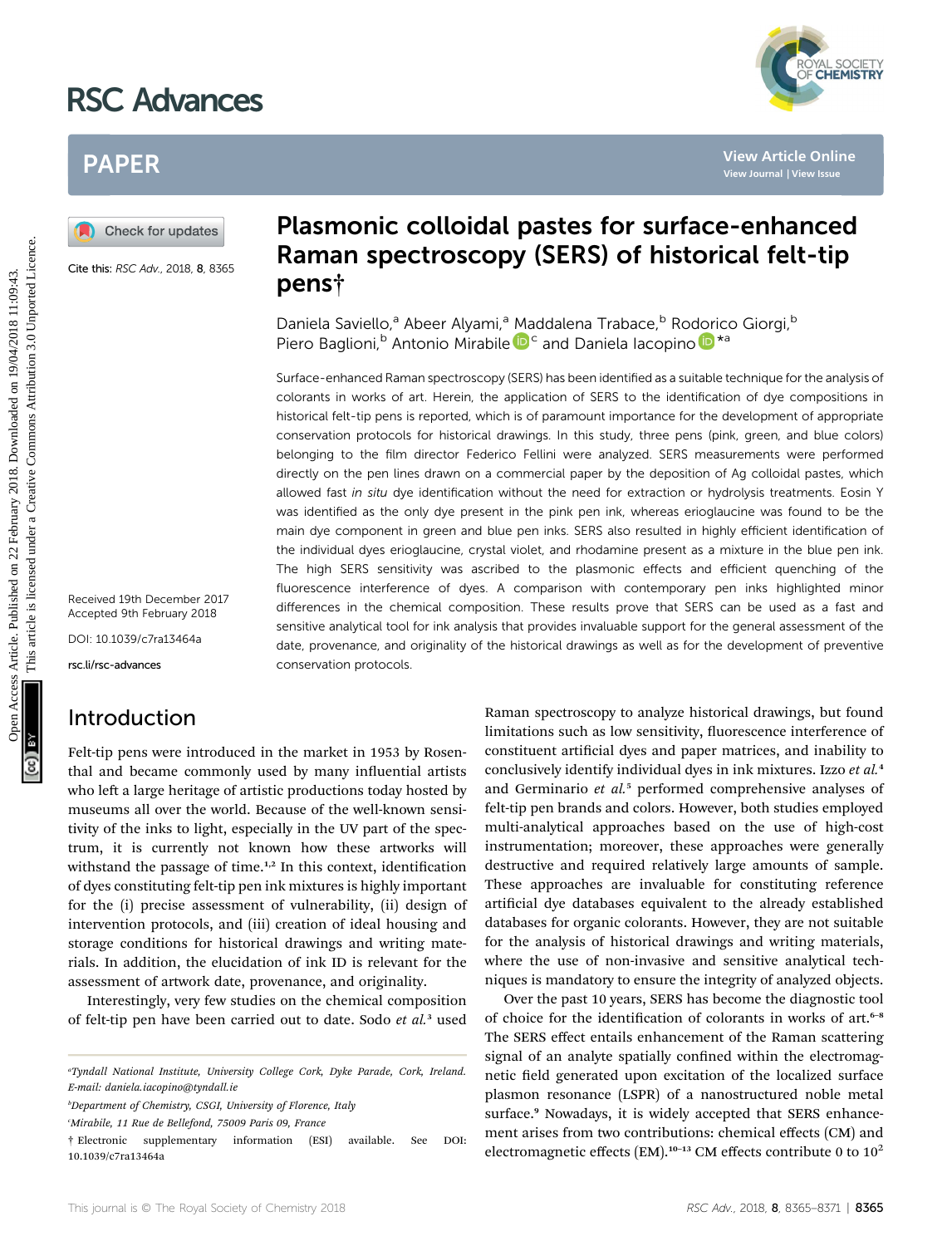# RSC Advances



# PAPER

Cite this: RSC Adv., 2018, 8, 8365

Received 19th December 2017 Accepted 9th February 2018

DOI: 10.1039/c7ra13464a

rsc.li/rsc-advances

# Introduction

Felt-tip pens were introduced in the market in 1953 by Rosenthal and became commonly used by many influential artists who left a large heritage of artistic productions today hosted by museums all over the world. Because of the well-known sensitivity of the inks to light, especially in the UV part of the spectrum, it is currently not known how these artworks will withstand the passage of time. $1,2$  In this context, identification of dyes constituting felt-tip pen ink mixtures is highly important for the (i) precise assessment of vulnerability, (ii) design of intervention protocols, and (iii) creation of ideal housing and storage conditions for historical drawings and writing materials. In addition, the elucidation of ink ID is relevant for the assessment of artwork date, provenance, and originality.

Interestingly, very few studies on the chemical composition of felt-tip pen have been carried out to date. Sodo et al.<sup>3</sup> used

b Department of Chemistry, CSGI, University of Florence, Italy

c Mirabile, 11 Rue de Bellefond, 75009 Paris 09, France

# Plasmonic colloidal pastes for surface-enhanced Raman spectroscopy (SERS) of historical felt-tip pens†

Daniela Saviello,<sup>a</sup> Abeer Alyami,<sup>a</sup> Maddalena Trabace,<sup>b</sup> Rodorico Giorgi,<sup>b</sup> Pi[e](http://orcid.org/0000-0001-8676-1828)r[o](http://orcid.org/0000-0003-2301-9401) Baglioni,<sup>b</sup> Antonio Mirabile  $\mathbf{D}^c$  and Daniela Iacopino  $\mathbf{D}^{*a}$ 

Surface-enhanced Raman spectroscopy (SERS) has been identified as a suitable technique for the analysis of colorants in works of art. Herein, the application of SERS to the identification of dye compositions in historical felt-tip pens is reported, which is of paramount importance for the development of appropriate conservation protocols for historical drawings. In this study, three pens (pink, green, and blue colors) belonging to the film director Federico Fellini were analyzed. SERS measurements were performed directly on the pen lines drawn on a commercial paper by the deposition of Ag colloidal pastes, which allowed fast in situ dye identification without the need for extraction or hydrolysis treatments. Eosin Y was identified as the only dye present in the pink pen ink, whereas erioglaucine was found to be the main dye component in green and blue pen inks. SERS also resulted in highly efficient identification of the individual dyes erioglaucine, crystal violet, and rhodamine present as a mixture in the blue pen ink. The high SERS sensitivity was ascribed to the plasmonic effects and efficient quenching of the fluorescence interference of dyes. A comparison with contemporary pen inks highlighted minor differences in the chemical composition. These results prove that SERS can be used as a fast and sensitive analytical tool for ink analysis that provides invaluable support for the general assessment of the date, provenance, and originality of the historical drawings as well as for the development of preventive conservation protocols. PAPER<br>
(a) Check for updates<br> **Example 18**<br>
Check for updates<br> **Example 18**<br>
Check for updates<br> **Example 18**<br>
Check for the second **Raman spectroscopy** (SERS) of historical felt-tip<br>
persistents and **Raman spectroscopy** (

Raman spectroscopy to analyze historical drawings, but found limitations such as low sensitivity, fluorescence interference of constituent artificial dyes and paper matrices, and inability to conclusively identify individual dyes in ink mixtures. Izzo et al.<sup>4</sup> and Germinario et al.<sup>5</sup> performed comprehensive analyses of felt-tip pen brands and colors. However, both studies employed multi-analytical approaches based on the use of high-cost instrumentation; moreover, these approaches were generally destructive and required relatively large amounts of sample. These approaches are invaluable for constituting reference artificial dye databases equivalent to the already established databases for organic colorants. However, they are not suitable for the analysis of historical drawings and writing materials, where the use of non-invasive and sensitive analytical techniques is mandatory to ensure the integrity of analyzed objects.

Over the past 10 years, SERS has become the diagnostic tool of choice for the identification of colorants in works of art. $6-8$ The SERS effect entails enhancement of the Raman scattering signal of an analyte spatially confined within the electromagnetic field generated upon excitation of the localized surface plasmon resonance (LSPR) of a nanostructured noble metal surface.<sup>9</sup> Nowadays, it is widely accepted that SERS enhancement arises from two contributions: chemical effects (CM) and electromagnetic effects (EM).<sup>10-13</sup> CM effects contribute 0 to  $10^2$ 

a Tyndall National Institute, University College Cork, Dyke Parade, Cork, Ireland. E-mail: daniela.iacopino@tyndall.ie

<sup>†</sup> Electronic supplementary information (ESI) available. See DOI: 10.1039/c7ra13464a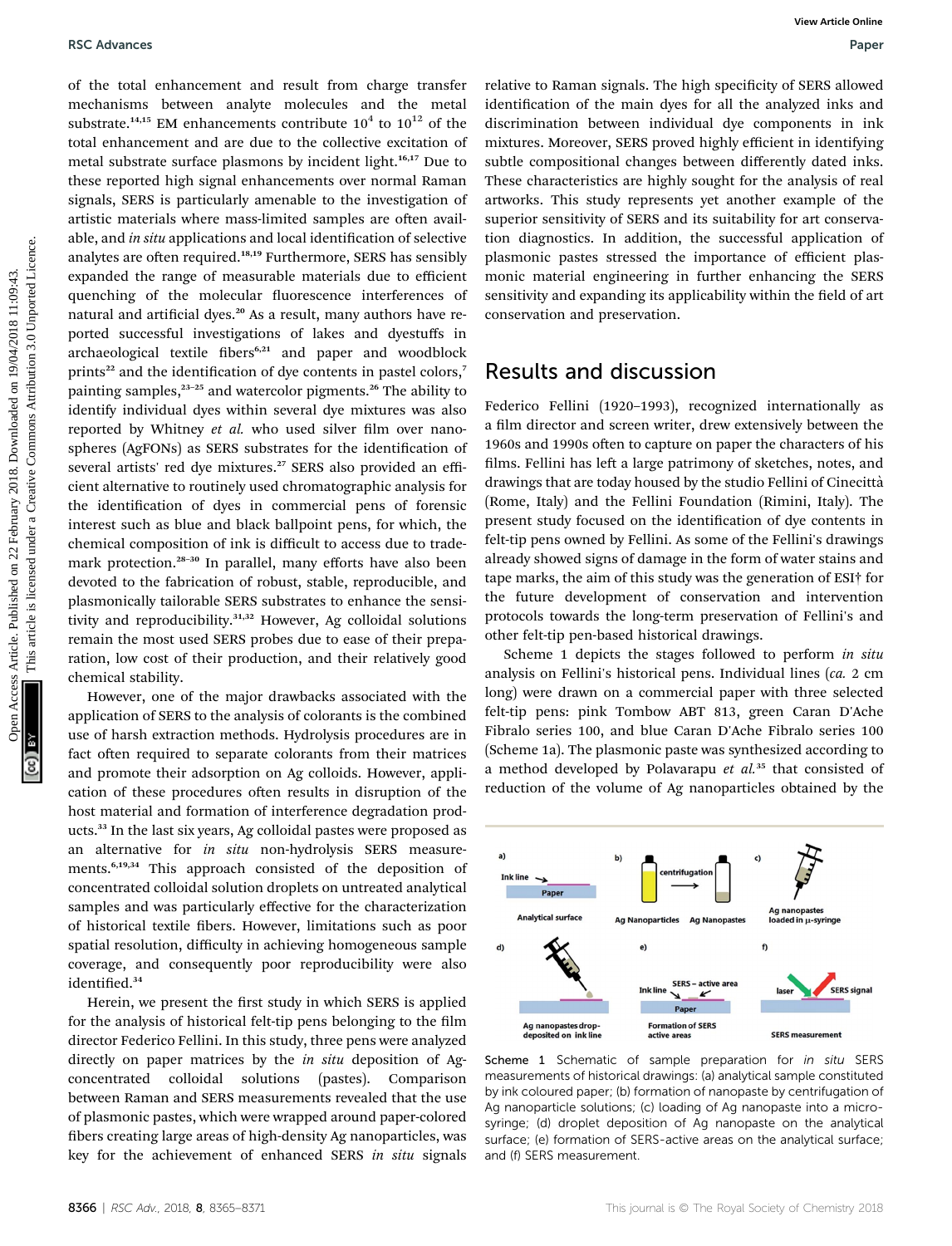#### RSC Advances **Paper** Paper **Paper Paper Paper Paper Paper Paper Paper Paper Paper Paper Paper Paper Paper Paper Paper**

of the total enhancement and result from charge transfer mechanisms between analyte molecules and the metal substrate.<sup>14,15</sup> EM enhancements contribute  $10^4$  to  $10^{12}$  of the total enhancement and are due to the collective excitation of metal substrate surface plasmons by incident light.<sup>16,17</sup> Due to these reported high signal enhancements over normal Raman signals, SERS is particularly amenable to the investigation of artistic materials where mass-limited samples are often available, and in situ applications and local identification of selective analytes are often required.<sup>18,19</sup> Furthermore, SERS has sensibly expanded the range of measurable materials due to efficient quenching of the molecular fluorescence interferences of natural and artificial dyes.<sup>20</sup> As a result, many authors have reported successful investigations of lakes and dyestuffs in archaeological textile fibers<sup>6,21</sup> and paper and woodblock prints<sup>22</sup> and the identification of dye contents in pastel colors,<sup>7</sup> painting samples, $23-25$  and watercolor pigments.<sup>26</sup> The ability to identify individual dyes within several dye mixtures was also reported by Whitney et al. who used silver film over nanospheres (AgFONs) as SERS substrates for the identification of several artists' red dye mixtures.<sup>27</sup> SERS also provided an efficient alternative to routinely used chromatographic analysis for the identification of dyes in commercial pens of forensic interest such as blue and black ballpoint pens, for which, the chemical composition of ink is difficult to access due to trademark protection.<sup>28-30</sup> In parallel, many efforts have also been devoted to the fabrication of robust, stable, reproducible, and plasmonically tailorable SERS substrates to enhance the sensitivity and reproducibility.<sup>31,32</sup> However, Ag colloidal solutions remain the most used SERS probes due to ease of their preparation, low cost of their production, and their relatively good chemical stability. **Excellences**<br>
On the transmission between a result from charge transfer elative to Raman signals. The high specificity of SEEs allowed<br>
contained a monomental and asc due to the collective cactinuities and the mean intera

However, one of the major drawbacks associated with the application of SERS to the analysis of colorants is the combined use of harsh extraction methods. Hydrolysis procedures are in fact often required to separate colorants from their matrices and promote their adsorption on Ag colloids. However, application of these procedures often results in disruption of the host material and formation of interference degradation products.<sup>33</sup> In the last six years, Ag colloidal pastes were proposed as an alternative for in situ non-hydrolysis SERS measurements.6,19,34 This approach consisted of the deposition of concentrated colloidal solution droplets on untreated analytical samples and was particularly effective for the characterization of historical textile fibers. However, limitations such as poor spatial resolution, difficulty in achieving homogeneous sample coverage, and consequently poor reproducibility were also identified.<sup>34</sup>

Herein, we present the first study in which SERS is applied for the analysis of historical felt-tip pens belonging to the film director Federico Fellini. In this study, three pens were analyzed directly on paper matrices by the in situ deposition of Agconcentrated colloidal solutions (pastes). Comparison between Raman and SERS measurements revealed that the use of plasmonic pastes, which were wrapped around paper-colored bers creating large areas of high-density Ag nanoparticles, was key for the achievement of enhanced SERS in situ signals

relative to Raman signals. The high specificity of SERS allowed identification of the main dyes for all the analyzed inks and discrimination between individual dye components in ink mixtures. Moreover, SERS proved highly efficient in identifying subtle compositional changes between differently dated inks. These characteristics are highly sought for the analysis of real artworks. This study represents yet another example of the superior sensitivity of SERS and its suitability for art conservation diagnostics. In addition, the successful application of plasmonic pastes stressed the importance of efficient plasmonic material engineering in further enhancing the SERS sensitivity and expanding its applicability within the field of art conservation and preservation.

### Results and discussion

Federico Fellini (1920–1993), recognized internationally as a film director and screen writer, drew extensively between the 1960s and 1990s often to capture on paper the characters of his films. Fellini has left a large patrimony of sketches, notes, and drawings that are today housed by the studio Fellini of Cinecittà (Rome, Italy) and the Fellini Foundation (Rimini, Italy). The present study focused on the identification of dye contents in felt-tip pens owned by Fellini. As some of the Fellini's drawings already showed signs of damage in the form of water stains and tape marks, the aim of this study was the generation of ESI† for the future development of conservation and intervention protocols towards the long-term preservation of Fellini's and other felt-tip pen-based historical drawings.

Scheme 1 depicts the stages followed to perform in situ analysis on Fellini's historical pens. Individual lines (ca. 2 cm long) were drawn on a commercial paper with three selected felt-tip pens: pink Tombow ABT 813, green Caran D'Ache Fibralo series 100, and blue Caran D'Ache Fibralo series 100 (Scheme 1a). The plasmonic paste was synthesized according to a method developed by Polavarapu et  $al.^{35}$  that consisted of reduction of the volume of Ag nanoparticles obtained by the



Scheme 1 Schematic of sample preparation for in situ SERS measurements of historical drawings: (a) analytical sample constituted by ink coloured paper; (b) formation of nanopaste by centrifugation of Ag nanoparticle solutions; (c) loading of Ag nanopaste into a microsyringe; (d) droplet deposition of Ag nanopaste on the analytical surface; (e) formation of SERS-active areas on the analytical surface; and (f) SERS measurement.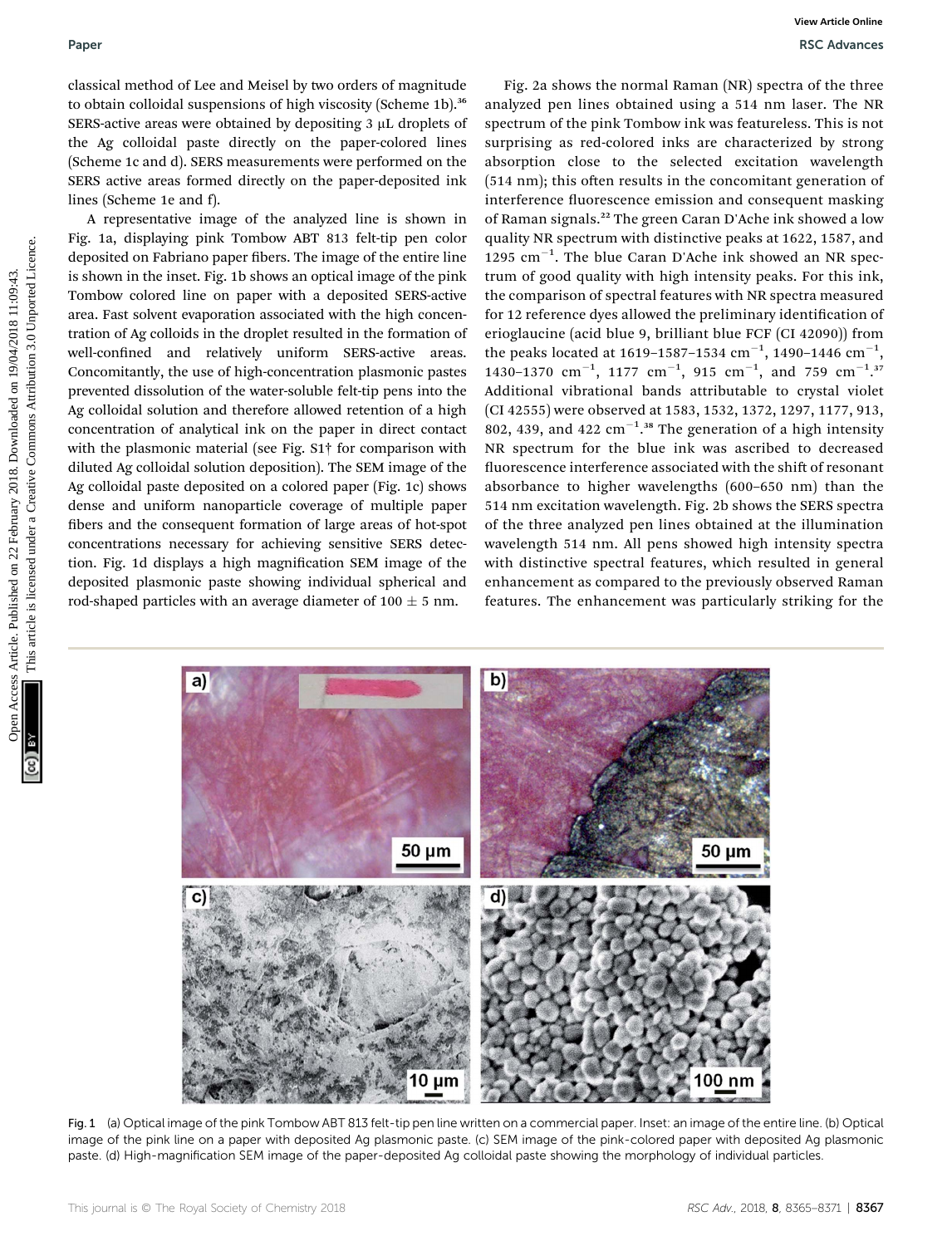classical method of Lee and Meisel by two orders of magnitude to obtain colloidal suspensions of high viscosity (Scheme 1b).<sup>36</sup> SERS-active areas were obtained by depositing  $3 \mu$ L droplets of the Ag colloidal paste directly on the paper-colored lines (Scheme 1c and d). SERS measurements were performed on the SERS active areas formed directly on the paper-deposited ink lines (Scheme 1e and f).

A representative image of the analyzed line is shown in Fig. 1a, displaying pink Tombow ABT 813 felt-tip pen color deposited on Fabriano paper fibers. The image of the entire line is shown in the inset. Fig. 1b shows an optical image of the pink Tombow colored line on paper with a deposited SERS-active area. Fast solvent evaporation associated with the high concentration of Ag colloids in the droplet resulted in the formation of well-confined and relatively uniform SERS-active areas. Concomitantly, the use of high-concentration plasmonic pastes prevented dissolution of the water-soluble felt-tip pens into the Ag colloidal solution and therefore allowed retention of a high concentration of analytical ink on the paper in direct contact with the plasmonic material (see Fig. S1† for comparison with diluted Ag colloidal solution deposition). The SEM image of the Ag colloidal paste deposited on a colored paper (Fig. 1c) shows dense and uniform nanoparticle coverage of multiple paper bers and the consequent formation of large areas of hot-spot concentrations necessary for achieving sensitive SERS detection. Fig. 1d displays a high magnification SEM image of the deposited plasmonic paste showing individual spherical and rod-shaped particles with an average diameter of  $100 \pm 5$  nm.

Fig. 2a shows the normal Raman (NR) spectra of the three analyzed pen lines obtained using a 514 nm laser. The NR spectrum of the pink Tombow ink was featureless. This is not surprising as red-colored inks are characterized by strong absorption close to the selected excitation wavelength  $(514 \text{ nm})$ ; this often results in the concomitant generation of interference fluorescence emission and consequent masking of Raman signals.<sup>22</sup> The green Caran D'Ache ink showed a low quality NR spectrum with distinctive peaks at 1622, 1587, and 1295  $cm^{-1}$ . The blue Caran D'Ache ink showed an NR spectrum of good quality with high intensity peaks. For this ink, the comparison of spectral features with NR spectra measured for 12 reference dyes allowed the preliminary identification of erioglaucine (acid blue 9, brilliant blue FCF (CI 42090)) from the peaks located at 1619–1587–1534 cm $^{-1}$ , 1490–1446 cm $^{-1}$ , 1430–1370  $\text{cm}^{-1}$ , 1177  $\text{cm}^{-1}$ , 915  $\text{cm}^{-1}$ , and 759  $\text{cm}^{-1}$ .<sup>37</sup> Additional vibrational bands attributable to crystal violet (CI 42555) were observed at 1583, 1532, 1372, 1297, 1177, 913, 802, 439, and 422  $cm^{-1}.$ <sup>38</sup> The generation of a high intensity NR spectrum for the blue ink was ascribed to decreased fluorescence interference associated with the shift of resonant absorbance to higher wavelengths (600–650 nm) than the 514 nm excitation wavelength. Fig. 2b shows the SERS spectra of the three analyzed pen lines obtained at the illumination wavelength 514 nm. All pens showed high intensity spectra with distinctive spectral features, which resulted in general enhancement as compared to the previously observed Raman features. The enhancement was particularly striking for the Paper<br>
Cassical medical of the and Meisel by severable of the paper density (Scheme Huby 2018) and the more control methods are not the common common access the common common common common common can all affiliar cases are



Fig. 1 (a) Optical image of the pink Tombow ABT 813 felt-tip pen line written on a commercial paper. Inset: an image of the entire line. (b) Optical image of the pink line on a paper with deposited Ag plasmonic paste. (c) SEM image of the pink-colored paper with deposited Ag plasmonic paste. (d) High-magnification SEM image of the paper-deposited Ag colloidal paste showing the morphology of individual particles.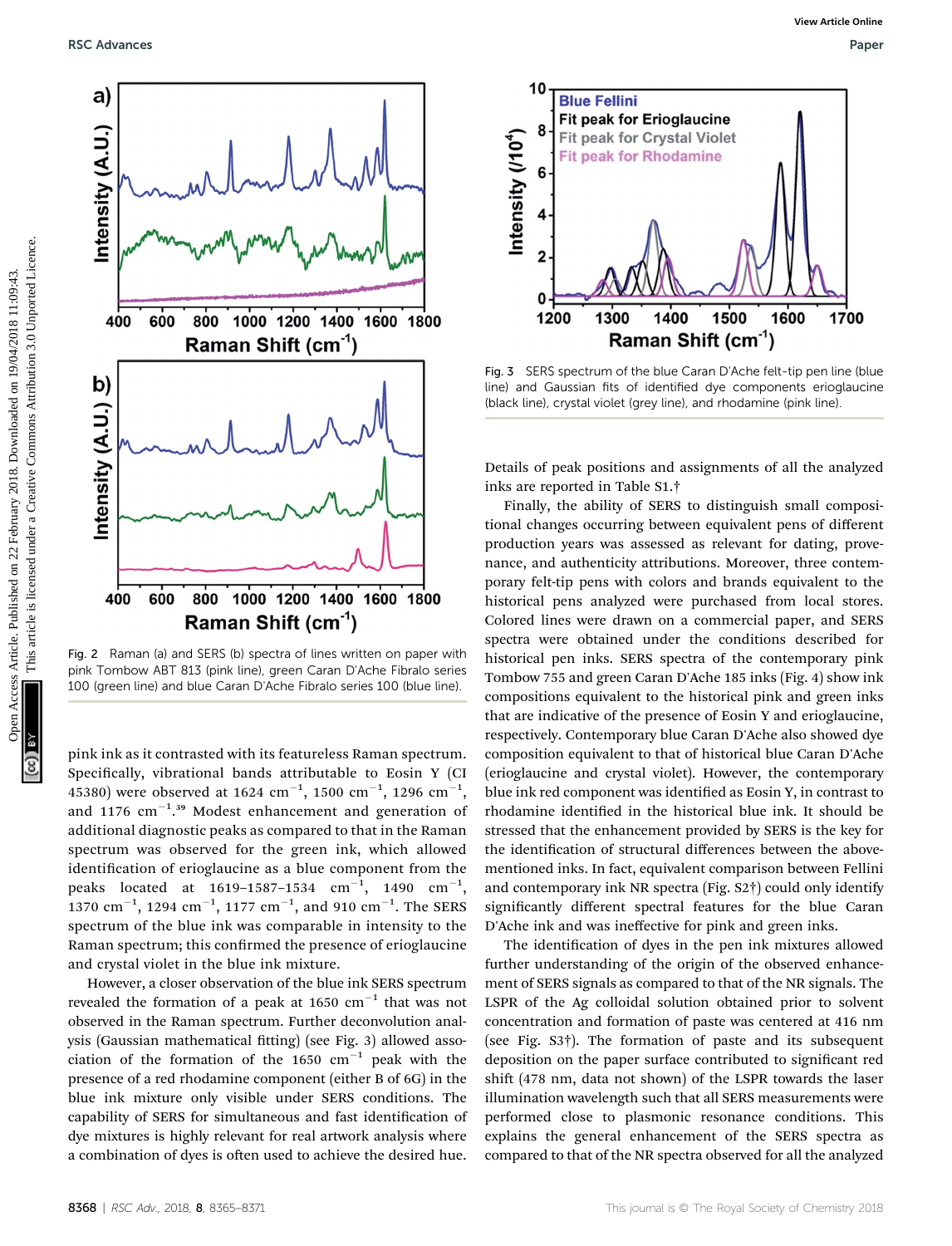

Fig. 2 Raman (a) and SERS (b) spectra of lines written on paper with pink Tombow ABT 813 (pink line), green Caran D'Ache Fibralo series 100 (green line) and blue Caran D'Ache Fibralo series 100 (blue line).

pink ink as it contrasted with its featureless Raman spectrum. Specifically, vibrational bands attributable to Eosin Y (CI 45380) were observed at 1624  $\rm cm^{-1} ,$  1500  $\rm cm^{-1} ,$  1296  $\rm cm^{-1} ,$ and 1176  $\text{cm}^{-1}$ .<sup>39</sup> Modest enhancement and generation of additional diagnostic peaks as compared to that in the Raman spectrum was observed for the green ink, which allowed identification of erioglaucine as a blue component from the peaks located at 1619–1587–1534  $\text{cm}^{-1}$ , 1490  $\text{cm}^{-1}$ ,  $1370 \; \mathrm{cm}^{-1}$ ,  $1294 \; \mathrm{cm}^{-1}$ ,  $1177 \; \mathrm{cm}^{-1}$ , and  $910 \; \mathrm{cm}^{-1}$ . The SERS spectrum of the blue ink was comparable in intensity to the Raman spectrum; this confirmed the presence of erioglaucine and crystal violet in the blue ink mixture.

However, a closer observation of the blue ink SERS spectrum revealed the formation of a peak at  $1650 \text{ cm}^{-1}$  that was not observed in the Raman spectrum. Further deconvolution analysis (Gaussian mathematical fitting) (see Fig. 3) allowed association of the formation of the 1650  $cm^{-1}$  peak with the presence of a red rhodamine component (either B of 6G) in the blue ink mixture only visible under SERS conditions. The capability of SERS for simultaneous and fast identification of dye mixtures is highly relevant for real artwork analysis where a combination of dyes is often used to achieve the desired hue.



Fig. 3 SERS spectrum of the blue Caran D'Ache felt-tip pen line (blue line) and Gaussian fits of identified dye components erioglaucine (black line), crystal violet (grey line), and rhodamine (pink line).

Details of peak positions and assignments of all the analyzed inks are reported in Table S1.†

Finally, the ability of SERS to distinguish small compositional changes occurring between equivalent pens of different production years was assessed as relevant for dating, provenance, and authenticity attributions. Moreover, three contemporary felt-tip pens with colors and brands equivalent to the historical pens analyzed were purchased from local stores. Colored lines were drawn on a commercial paper, and SERS spectra were obtained under the conditions described for historical pen inks. SERS spectra of the contemporary pink Tombow 755 and green Caran D'Ache 185 inks (Fig. 4) show ink compositions equivalent to the historical pink and green inks that are indicative of the presence of Eosin Y and erioglaucine, respectively. Contemporary blue Caran D'Ache also showed dye composition equivalent to that of historical blue Caran D'Ache (erioglaucine and crystal violet). However, the contemporary blue ink red component was identified as Eosin Y, in contrast to rhodamine identified in the historical blue ink. It should be stressed that the enhancement provided by SERS is the key for the identification of structural differences between the abovementioned inks. In fact, equivalent comparison between Fellini and contemporary ink NR spectra (Fig. S2†) could only identify significantly different spectral features for the blue Caran D'Ache ink and was ineffective for pink and green inks.

The identification of dyes in the pen ink mixtures allowed further understanding of the origin of the observed enhancement of SERS signals as compared to that of the NR signals. The LSPR of the Ag colloidal solution obtained prior to solvent concentration and formation of paste was centered at 416 nm (see Fig. S3†). The formation of paste and its subsequent deposition on the paper surface contributed to significant red shift (478 nm, data not shown) of the LSPR towards the laser illumination wavelength such that all SERS measurements were performed close to plasmonic resonance conditions. This explains the general enhancement of the SERS spectra as compared to that of the NR spectra observed for all the analyzed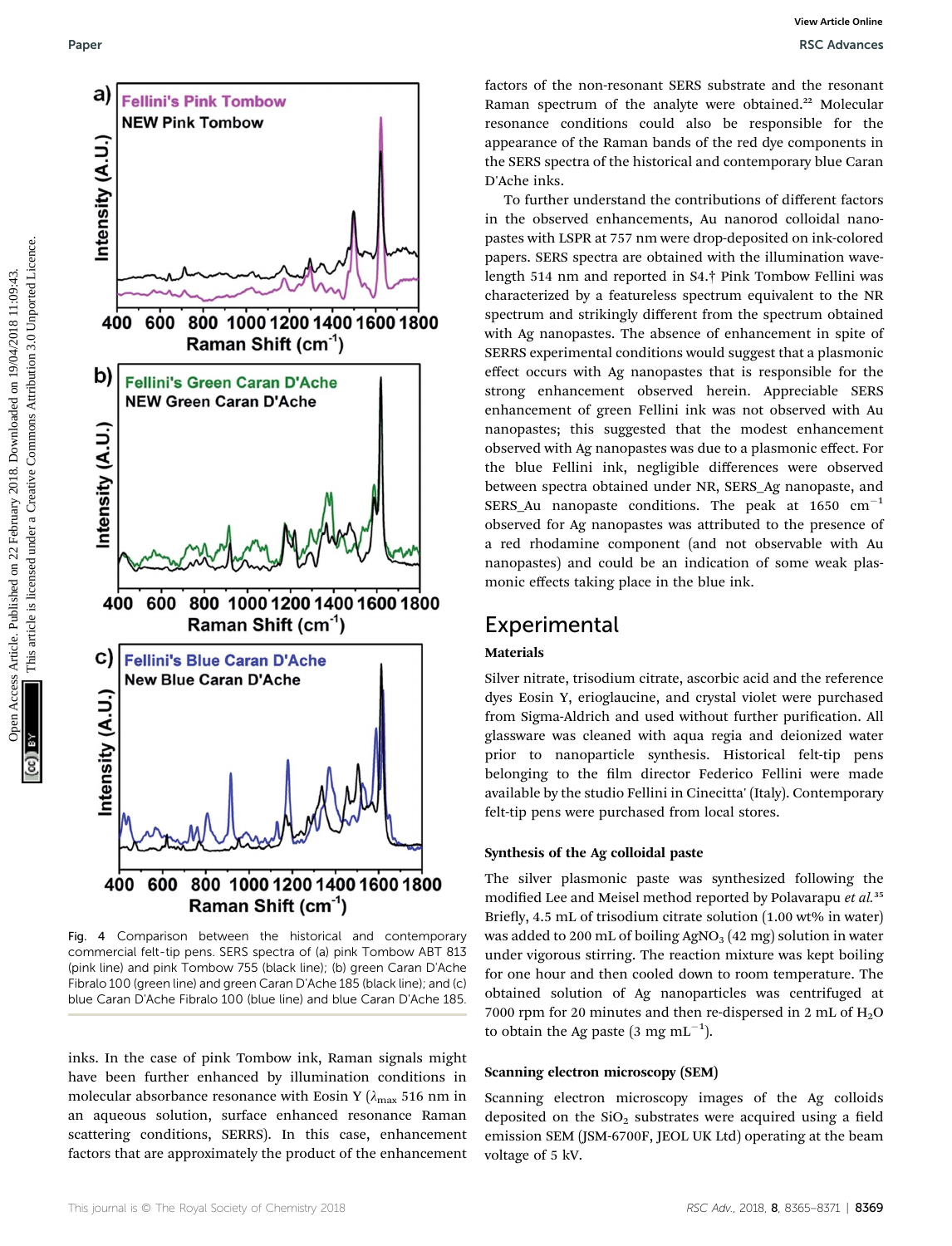

Fig. 4 Comparison between the historical and contemporary commercial felt-tip pens. SERS spectra of (a) pink Tombow ABT 813 (pink line) and pink Tombow 755 (black line); (b) green Caran D'Ache Fibralo 100 (green line) and green Caran D'Ache 185 (black line); and (c) blue Caran D'Ache Fibralo 100 (blue line) and blue Caran D'Ache 185.

inks. In the case of pink Tombow ink, Raman signals might have been further enhanced by illumination conditions in molecular absorbance resonance with Eosin Y ( $\lambda_{\text{max}}$  516 nm in an aqueous solution, surface enhanced resonance Raman scattering conditions, SERRS). In this case, enhancement factors that are approximately the product of the enhancement factors of the non-resonant SERS substrate and the resonant Raman spectrum of the analyte were obtained.<sup>22</sup> Molecular resonance conditions could also be responsible for the appearance of the Raman bands of the red dye components in the SERS spectra of the historical and contemporary blue Caran D'Ache inks.

To further understand the contributions of different factors in the observed enhancements, Au nanorod colloidal nanopastes with LSPR at 757 nm were drop-deposited on ink-colored papers. SERS spectra are obtained with the illumination wavelength 514 nm and reported in S4.† Pink Tombow Fellini was characterized by a featureless spectrum equivalent to the NR spectrum and strikingly different from the spectrum obtained with Ag nanopastes. The absence of enhancement in spite of SERRS experimental conditions would suggest that a plasmonic effect occurs with Ag nanopastes that is responsible for the strong enhancement observed herein. Appreciable SERS enhancement of green Fellini ink was not observed with Au nanopastes; this suggested that the modest enhancement observed with Ag nanopastes was due to a plasmonic effect. For the blue Fellini ink, negligible differences were observed between spectra obtained under NR, SERS\_Ag nanopaste, and SERS\_Au nanopaste conditions. The peak at  $1650 \text{ cm}^{-1}$ observed for Ag nanopastes was attributed to the presence of a red rhodamine component (and not observable with Au nanopastes) and could be an indication of some weak plasmonic effects taking place in the blue ink.

### **Experimental**

### Materials

Silver nitrate, trisodium citrate, ascorbic acid and the reference dyes Eosin Y, erioglaucine, and crystal violet were purchased from Sigma-Aldrich and used without further purification. All glassware was cleaned with aqua regia and deionized water prior to nanoparticle synthesis. Historical felt-tip pens belonging to the film director Federico Fellini were made available by the studio Fellini in Cinecitta' (Italy). Contemporary felt-tip pens were purchased from local stores.

#### Synthesis of the Ag colloidal paste

The silver plasmonic paste was synthesized following the modified Lee and Meisel method reported by Polavarapu et al.<sup>35</sup> Briefly, 4.5 mL of trisodium citrate solution (1.00 wt% in water) was added to 200 mL of boiling  $AgNO<sub>3</sub>$  (42 mg) solution in water under vigorous stirring. The reaction mixture was kept boiling for one hour and then cooled down to room temperature. The obtained solution of Ag nanoparticles was centrifuged at 7000 rpm for 20 minutes and then re-dispersed in 2 mL of  $H<sub>2</sub>O$ to obtain the Ag paste (3 mg mL $^{-1}$ ).

#### Scanning electron microscopy (SEM)

Scanning electron microscopy images of the Ag colloids deposited on the  $SiO<sub>2</sub>$  substrates were acquired using a field emission SEM (JSM-6700F, JEOL UK Ltd) operating at the beam voltage of 5 kV.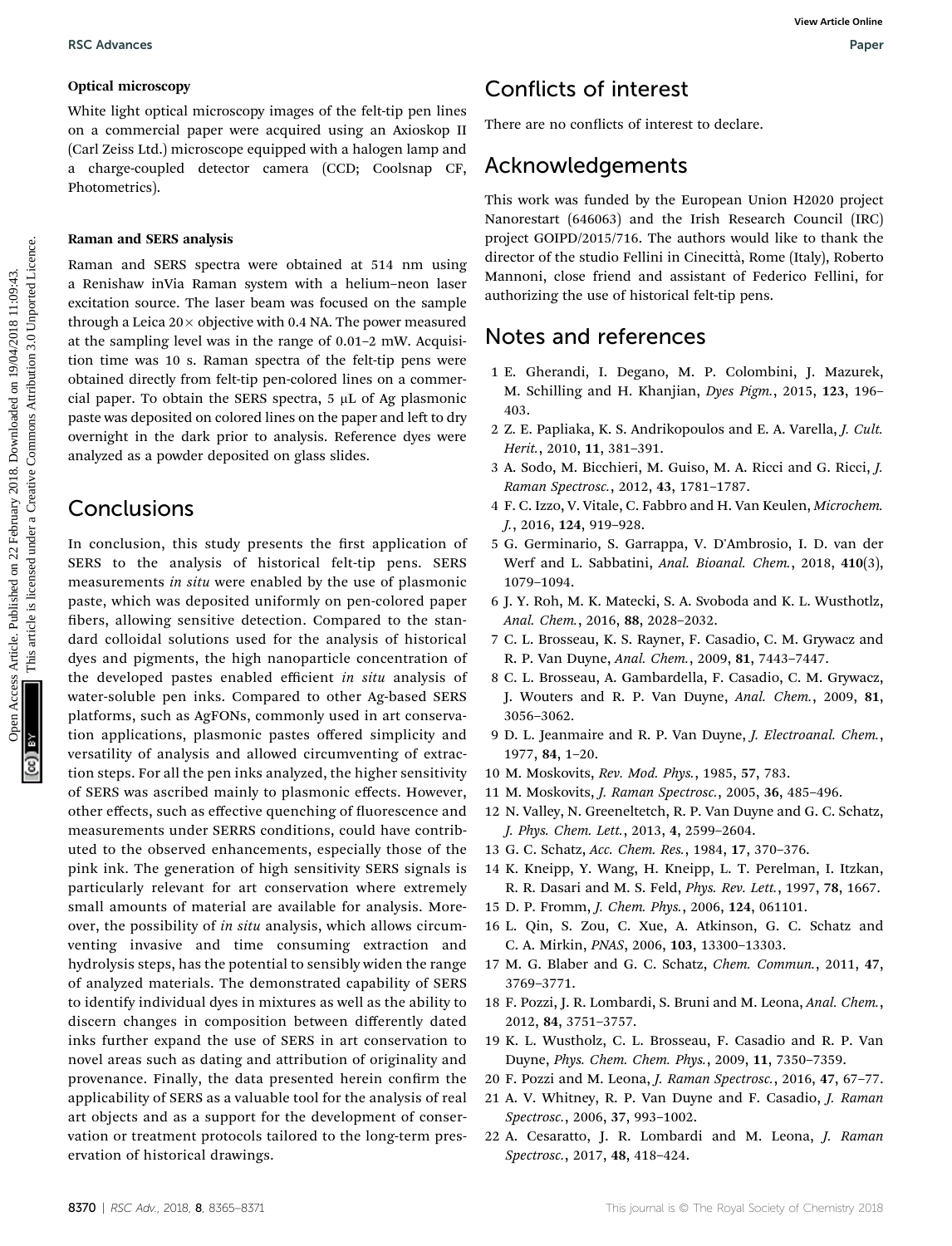#### Optical microscopy

White light optical microscopy images of the felt-tip pen lines on a commercial paper were acquired using an Axioskop II (Carl Zeiss Ltd.) microscope equipped with a halogen lamp and a charge-coupled detector camera (CCD; Coolsnap CF, Photometrics).

#### Raman and SERS analysis

Raman and SERS spectra were obtained at 514 nm using a Renishaw inVia Raman system with a helium–neon laser excitation source. The laser beam was focused on the sample through a Leica  $20 \times$  objective with 0.4 NA. The power measured at the sampling level was in the range of 0.01–2 mW. Acquisition time was 10 s. Raman spectra of the felt-tip pens were obtained directly from felt-tip pen-colored lines on a commercial paper. To obtain the SERS spectra,  $5 \mu L$  of Ag plasmonic paste was deposited on colored lines on the paper and left to dry overnight in the dark prior to analysis. Reference dyes were analyzed as a powder deposited on glass slides. **Example on 22** February 1922 February 2018. Conclude the computer of the state is limited on 22 February 2018. The state of the state of the state of the state of the state of the state of the state of the state of the s

## Conclusions

In conclusion, this study presents the first application of SERS to the analysis of historical felt-tip pens. SERS measurements in situ were enabled by the use of plasmonic paste, which was deposited uniformly on pen-colored paper bers, allowing sensitive detection. Compared to the standard colloidal solutions used for the analysis of historical dyes and pigments, the high nanoparticle concentration of the developed pastes enabled efficient in situ analysis of water-soluble pen inks. Compared to other Ag-based SERS platforms, such as AgFONs, commonly used in art conservation applications, plasmonic pastes offered simplicity and versatility of analysis and allowed circumventing of extraction steps. For all the pen inks analyzed, the higher sensitivity of SERS was ascribed mainly to plasmonic effects. However, other effects, such as effective quenching of fluorescence and measurements under SERRS conditions, could have contributed to the observed enhancements, especially those of the pink ink. The generation of high sensitivity SERS signals is particularly relevant for art conservation where extremely small amounts of material are available for analysis. Moreover, the possibility of in situ analysis, which allows circumventing invasive and time consuming extraction and hydrolysis steps, has the potential to sensibly widen the range of analyzed materials. The demonstrated capability of SERS to identify individual dyes in mixtures as well as the ability to discern changes in composition between differently dated inks further expand the use of SERS in art conservation to novel areas such as dating and attribution of originality and provenance. Finally, the data presented herein confirm the applicability of SERS as a valuable tool for the analysis of real art objects and as a support for the development of conservation or treatment protocols tailored to the long-term preservation of historical drawings.

# Conflicts of interest

There are no conflicts of interest to declare.

# Acknowledgements

This work was funded by the European Union H2020 project Nanorestart (646063) and the Irish Research Council (IRC) project GOIPD/2015/716. The authors would like to thank the director of the studio Fellini in Cinecittà, Rome (Italy), Roberto Mannoni, close friend and assistant of Federico Fellini, for authorizing the use of historical felt-tip pens.

# Notes and references

- 1 E. Gherandi, I. Degano, M. P. Colombini, J. Mazurek, M. Schilling and H. Khanjian, Dyes Pigm., 2015, 123, 196– 403.
- 2 Z. E. Papliaka, K. S. Andrikopoulos and E. A. Varella, J. Cult. Herit., 2010, 11, 381–391.
- 3 A. Sodo, M. Bicchieri, M. Guiso, M. A. Ricci and G. Ricci, J. Raman Spectrosc., 2012, 43, 1781–1787.
- 4 F. C. Izzo, V. Vitale, C. Fabbro and H. Van Keulen, Microchem. J., 2016, 124, 919–928.
- 5 G. Germinario, S. Garrappa, V. D'Ambrosio, I. D. van der Werf and L. Sabbatini, Anal. Bioanal. Chem., 2018, 410(3), 1079–1094.
- 6 J. Y. Roh, M. K. Matecki, S. A. Svoboda and K. L. Wusthotlz, Anal. Chem., 2016, 88, 2028–2032.
- 7 C. L. Brosseau, K. S. Rayner, F. Casadio, C. M. Grywacz and R. P. Van Duyne, Anal. Chem., 2009, 81, 7443–7447.
- 8 C. L. Brosseau, A. Gambardella, F. Casadio, C. M. Grywacz, J. Wouters and R. P. Van Duyne, Anal. Chem., 2009, 81, 3056–3062.
- 9 D. L. Jeanmaire and R. P. Van Duyne, J. Electroanal. Chem., 1977, 84, 1–20.
- 10 M. Moskovits, Rev. Mod. Phys., 1985, 57, 783.
- 11 M. Moskovits, J. Raman Spectrosc., 2005, 36, 485–496.
- 12 N. Valley, N. Greeneltetch, R. P. Van Duyne and G. C. Schatz, J. Phys. Chem. Lett., 2013, 4, 2599–2604.
- 13 G. C. Schatz, Acc. Chem. Res., 1984, 17, 370–376.
- 14 K. Kneipp, Y. Wang, H. Kneipp, L. T. Perelman, I. Itzkan, R. R. Dasari and M. S. Feld, Phys. Rev. Lett., 1997, 78, 1667.
- 15 D. P. Fromm, J. Chem. Phys., 2006, 124, 061101.
- 16 L. Qin, S. Zou, C. Xue, A. Atkinson, G. C. Schatz and C. A. Mirkin, PNAS, 2006, 103, 13300–13303.
- 17 M. G. Blaber and G. C. Schatz, Chem. Commun., 2011, 47, 3769–3771.
- 18 F. Pozzi, J. R. Lombardi, S. Bruni and M. Leona, Anal. Chem., 2012, 84, 3751–3757.
- 19 K. L. Wustholz, C. L. Brosseau, F. Casadio and R. P. Van Duyne, Phys. Chem. Chem. Phys., 2009, 11, 7350–7359.
- 20 F. Pozzi and M. Leona, J. Raman Spectrosc., 2016, 47, 67–77.
- 21 A. V. Whitney, R. P. Van Duyne and F. Casadio, J. Raman Spectrosc., 2006, 37, 993–1002.
- 22 A. Cesaratto, J. R. Lombardi and M. Leona, J. Raman Spectrosc., 2017, 48, 418–424.